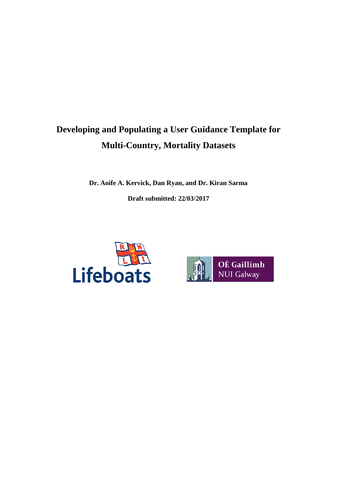# **Developing and Populating a User Guidance Template for Multi-Country, Mortality Datasets**

**Dr. Aoife A. Kervick, Dan Ryan, and Dr. Kiran Sarma Draft submitted: 22/03/2017**



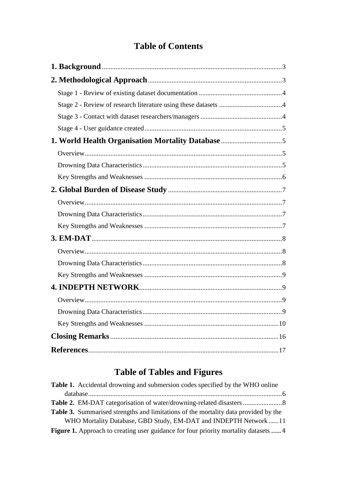# **Table of Contents**

# **Table of Tables and Figures**

| Table 1. Accidental drowning and submersion codes specified by the WHO online               |
|---------------------------------------------------------------------------------------------|
|                                                                                             |
|                                                                                             |
| <b>Table 3.</b> Summarised strengths and limitations of the mortality data provided by the  |
| WHO Mortality Database, GBD Study, EM-DAT and INDEPTH Network11                             |
| <b>Figure 1.</b> Approach to creating user guidance for four priority mortality datasets  4 |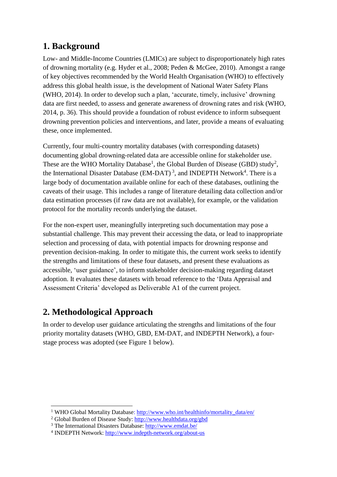## **1. Background**

Low- and Middle-Income Countries (LMICs) are subject to disproportionately high rates of drowning mortality (e.g. Hyder et al., 2008; Peden & McGee, 2010). Amongst a range of key objectives recommended by the World Health Organisation (WHO) to effectively address this global health issue, is the development of National Water Safety Plans (WHO, 2014). In order to develop such a plan, 'accurate, timely, inclusive' drowning data are first needed, to assess and generate awareness of drowning rates and risk (WHO, 2014, p. 36). This should provide a foundation of robust evidence to inform subsequent drowning prevention policies and interventions, and later, provide a means of evaluating these, once implemented.

Currently, four multi-country mortality databases (with corresponding datasets) documenting global drowning-related data are accessible online for stakeholder use. These are the WHO Mortality Database<sup>1</sup>, the Global Burden of Disease (GBD) study<sup>2</sup>, the International Disaster Database (EM-DAT)<sup>3</sup>, and INDEPTH Network<sup>4</sup>. There is a large body of documentation available online for each of these databases, outlining the caveats of their usage. This includes a range of literature detailing data collection and/or data estimation processes (if raw data are not available), for example, or the validation protocol for the mortality records underlying the dataset.

For the non-expert user, meaningfully interpreting such documentation may pose a substantial challenge. This may prevent their accessing the data, or lead to inappropriate selection and processing of data, with potential impacts for drowning response and prevention decision-making. In order to mitigate this, the current work seeks to identify the strengths and limitations of these four datasets, and present these evaluations as accessible, 'user guidance', to inform stakeholder decision-making regarding dataset adoption. It evaluates these datasets with broad reference to the 'Data Appraisal and Assessment Criteria' developed as Deliverable A1 of the current project.

# **2. Methodological Approach**

 $\overline{\phantom{a}}$ 

In order to develop user guidance articulating the strengths and limitations of the four priority mortality datasets (WHO, GBD, EM-DAT, and INDEPTH Network), a fourstage process was adopted (see Figure 1 below).

<sup>&</sup>lt;sup>1</sup> WHO Global Mortality Database: http://www.who.int/healthinfo/mortality\_data/en/

<sup>2</sup> Global Burden of Disease Study: <http://www.healthdata.org/gbd>

<sup>3</sup> The International Disasters Database[: http://www.emdat.be/](http://www.emdat.be/)

<sup>&</sup>lt;sup>4</sup> INDEPTH Network:<http://www.indepth-network.org/about-us>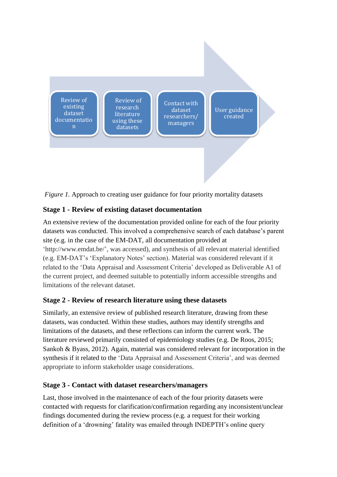

*Figure 1.* Approach to creating user guidance for four priority mortality datasets

#### **Stage 1 - Review of existing dataset documentation**

An extensive review of the documentation provided online for each of the four priority datasets was conducted. This involved a comprehensive search of each database's parent site (e.g. in the case of the EM-DAT, all documentation provided at ['http://www.emdat.be/'](http://www.emdat.be/), was accessed), and synthesis of all relevant material identified (e.g. EM-DAT's 'Explanatory Notes' section). Material was considered relevant if it related to the 'Data Appraisal and Assessment Criteria' developed as Deliverable A1 of the current project, and deemed suitable to potentially inform accessible strengths and limitations of the relevant dataset.

#### **Stage 2 - Review of research literature using these datasets**

Similarly, an extensive review of published research literature, drawing from these datasets, was conducted. Within these studies, authors may identify strengths and limitations of the datasets, and these reflections can inform the current work. The literature reviewed primarily consisted of epidemiology studies (e.g. De Roos, 2015; Sankoh & Byass, 2012). Again, material was considered relevant for incorporation in the synthesis if it related to the 'Data Appraisal and Assessment Criteria', and was deemed appropriate to inform stakeholder usage considerations.

#### **Stage 3 - Contact with dataset researchers/managers**

Last, those involved in the maintenance of each of the four priority datasets were contacted with requests for clarification/confirmation regarding any inconsistent/unclear findings documented during the review process (e.g. a request for their working definition of a 'drowning' fatality was emailed through INDEPTH's online query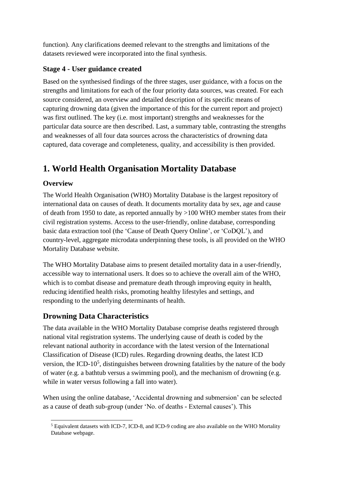function). Any clarifications deemed relevant to the strengths and limitations of the datasets reviewed were incorporated into the final synthesis.

#### **Stage 4 - User guidance created**

Based on the synthesised findings of the three stages, user guidance, with a focus on the strengths and limitations for each of the four priority data sources, was created. For each source considered, an overview and detailed description of its specific means of capturing drowning data (given the importance of this for the current report and project) was first outlined. The key (i.e. most important) strengths and weaknesses for the particular data source are then described. Last, a summary table, contrasting the strengths and weaknesses of all four data sources across the characteristics of drowning data captured, data coverage and completeness, quality, and accessibility is then provided.

# **1. World Health Organisation Mortality Database**

#### **Overview**

The World Health Organisation (WHO) Mortality Database is the largest repository of international data on causes of death. It documents mortality data by sex, age and cause of death from 1950 to date, as reported annually by >100 WHO member states from their civil registration systems. Access to the user-friendly, online database, corresponding basic data extraction tool (the 'Cause of Death Query Online', or 'CoDQL'), and country-level, aggregate microdata underpinning these tools, is all provided on the WHO Mortality Database website.

The WHO Mortality Database aims to present detailed mortality data in a user-friendly, accessible way to international users. It does so to achieve the overall aim of the WHO, which is to combat disease and premature death through improving equity in health, reducing identified health risks, promoting healthy lifestyles and settings, and responding to the underlying determinants of health.

#### **Drowning Data Characteristics**

The data available in the WHO Mortality Database comprise deaths registered through national vital registration systems. The underlying cause of death is coded by the relevant national authority in accordance with the latest version of the International Classification of Disease (ICD) rules. Regarding drowning deaths, the latest ICD version, the ICD-10 $<sup>5</sup>$ , distinguishes between drowning fatalities by the nature of the body</sup> of water (e.g. a bathtub versus a swimming pool), and the mechanism of drowning (e.g. while in water versus following a fall into water).

When using the online database, 'Accidental drowning and submersion' can be selected as a cause of death sub-group (under 'No. of deaths - External causes'). This

 $\overline{\phantom{a}}$ <sup>5</sup> Equivalent datasets with ICD-7, ICD-8, and ICD-9 coding are also available on the WHO Mortality Database webpage.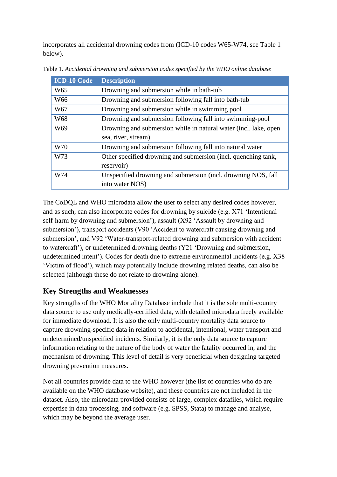incorporates all accidental drowning codes from (ICD-10 codes W65-W74, see Table 1 below).

| <b>ICD-10 Code</b> | <b>Description</b>                                               |
|--------------------|------------------------------------------------------------------|
| W <sub>65</sub>    | Drowning and submersion while in bath-tub                        |
| W <sub>66</sub>    | Drowning and submersion following fall into bath-tub             |
| W <sub>67</sub>    | Drowning and submersion while in swimming pool                   |
| W68                | Drowning and submersion following fall into swimming-pool        |
| W <sub>69</sub>    | Drowning and submersion while in natural water (incl. lake, open |
|                    | sea, river, stream)                                              |
| W70                | Drowning and submersion following fall into natural water        |
| W73                | Other specified drowning and submersion (incl. quenching tank,   |
|                    | reservoir)                                                       |
| W74                | Unspecified drowning and submersion (incl. drowning NOS, fall    |
|                    | into water NOS)                                                  |

Table 1. *Accidental drowning and submersion codes specified by the WHO online database*

The CoDQL and WHO microdata allow the user to select any desired codes however, and as such, can also incorporate codes for drowning by suicide (e.g. X71 'Intentional self-harm by drowning and submersion'), assault (X92 'Assault by drowning and submersion'), transport accidents (V90 'Accident to watercraft causing drowning and submersion', and V92 'Water-transport-related drowning and submersion with accident to watercraft'), or undetermined drowning deaths (Y21 'Drowning and submersion, undetermined intent'). Codes for death due to extreme environmental incidents (e.g. X38 'Victim of flood'), which may potentially include drowning related deaths, can also be selected (although these do not relate to drowning alone).

#### **Key Strengths and Weaknesses**

Key strengths of the WHO Mortality Database include that it is the sole multi-country data source to use only medically-certified data, with detailed microdata freely available for immediate download. It is also the only multi-country mortality data source to capture drowning-specific data in relation to accidental, intentional, water transport and undetermined/unspecified incidents. Similarly, it is the only data source to capture information relating to the nature of the body of water the fatality occurred in, and the mechanism of drowning. This level of detail is very beneficial when designing targeted drowning prevention measures.

Not all countries provide data to the WHO however (the list of countries who do are available on the WHO database website), and these countries are not included in the dataset. Also, the microdata provided consists of large, complex datafiles, which require expertise in data processing, and software (e.g. SPSS, Stata) to manage and analyse, which may be beyond the average user.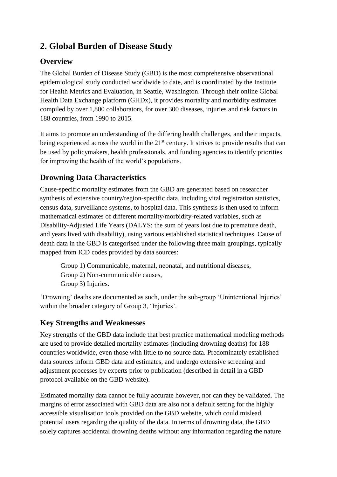# **2. Global Burden of Disease Study**

### **Overview**

The Global Burden of Disease Study (GBD) is the most comprehensive observational epidemiological study conducted worldwide to date, and is coordinated by the Institute for Health Metrics and Evaluation, in Seattle, Washington. Through their online Global Health Data Exchange platform (GHDx), it provides mortality and morbidity estimates compiled by over 1,800 collaborators, for over 300 diseases, injuries and risk factors in 188 countries, from 1990 to 2015.

It aims to promote an understanding of the differing health challenges, and their impacts, being experienced across the world in the  $21<sup>st</sup>$  century. It strives to provide results that can be used by policymakers, health professionals, and funding agencies to identify priorities for improving the health of the world's populations.

## **Drowning Data Characteristics**

Cause-specific mortality estimates from the GBD are generated based on researcher synthesis of extensive country/region-specific data, including vital registration statistics, census data, surveillance systems, to hospital data. This synthesis is then used to inform mathematical estimates of different mortality/morbidity-related variables, such as Disability-Adjusted Life Years (DALYS; the sum of years lost due to premature death, and years lived with disability), using various established statistical techniques. Cause of death data in the GBD is categorised under the following three main groupings, typically mapped from ICD codes provided by data sources:

Group 1) Communicable, maternal, neonatal, and nutritional diseases, Group 2) Non-communicable causes, Group 3) Injuries.

'Drowning' deaths are documented as such, under the sub-group 'Unintentional Injuries' within the broader category of Group 3, 'Injuries'.

#### **Key Strengths and Weaknesses**

Key strengths of the GBD data include that best practice mathematical modeling methods are used to provide detailed mortality estimates (including drowning deaths) for 188 countries worldwide, even those with little to no source data. Predominately established data sources inform GBD data and estimates, and undergo extensive screening and adjustment processes by experts prior to publication (described in detail in a GBD protocol available on the GBD website).

Estimated mortality data cannot be fully accurate however, nor can they be validated. The margins of error associated with GBD data are also not a default setting for the highly accessible visualisation tools provided on the GBD website, which could mislead potential users regarding the quality of the data. In terms of drowning data, the GBD solely captures accidental drowning deaths without any information regarding the nature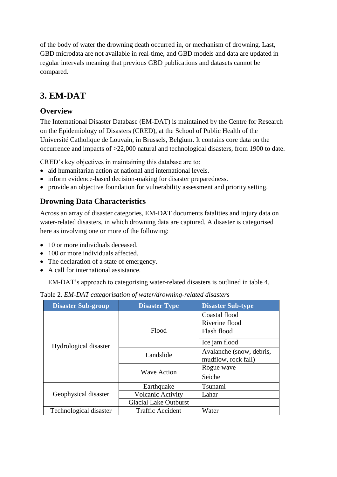of the body of water the drowning death occurred in, or mechanism of drowning. Last, GBD microdata are not available in real-time, and GBD models and data are updated in regular intervals meaning that previous GBD publications and datasets cannot be compared.

## **3. EM-DAT**

#### **Overview**

The International Disaster Database (EM-DAT) is maintained by the Centre for Research on the Epidemiology of Disasters (CRED), at the School of Public Health of the Université Catholique de Louvain, in Brussels, Belgium. It contains core data on the occurrence and impacts of >22,000 natural and technological disasters, from 1900 to date.

CRED's key objectives in maintaining this database are to:

- aid humanitarian action at national and international levels.
- inform evidence-based decision-making for disaster preparedness.
- provide an objective foundation for vulnerability assessment and priority setting.

### **Drowning Data Characteristics**

Across an array of disaster categories, EM-DAT documents fatalities and injury data on water-related disasters, in which drowning data are captured. A disaster is categorised here as involving one or more of the following:

- 10 or more individuals deceased.
- 100 or more individuals affected.
- The declaration of a state of emergency.
- A call for international assistance.

EM-DAT's approach to categorising water-related disasters is outlined in table 4.

| Table 2. EM-DAT categorisation of water/drowning-related disasters |  |  |
|--------------------------------------------------------------------|--|--|

| <b>Disaster Sub-group</b> | <b>Disaster Type</b>         | <b>Disaster Sub-type</b> |
|---------------------------|------------------------------|--------------------------|
|                           |                              | Coastal flood            |
|                           |                              | Riverine flood           |
|                           | Flood                        | Flash flood              |
| Hydrological disaster     |                              | Ice jam flood            |
|                           | Landslide                    | Avalanche (snow, debris, |
|                           |                              | mudflow, rock fall)      |
|                           | <b>Wave Action</b>           | Rogue wave               |
|                           |                              | Seiche                   |
|                           | Earthquake                   | Tsunami                  |
| Geophysical disaster      | <b>Volcanic Activity</b>     | Lahar                    |
|                           | <b>Glacial Lake Outburst</b> |                          |
| Technological disaster    | <b>Traffic Accident</b>      | Water                    |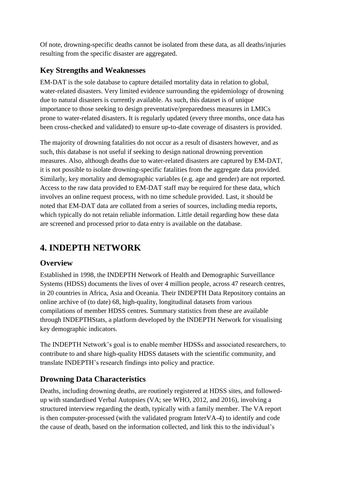Of note, drowning-specific deaths cannot be isolated from these data, as all deaths/injuries resulting from the specific disaster are aggregated.

#### **Key Strengths and Weaknesses**

EM-DAT is the sole database to capture detailed mortality data in relation to global, water-related disasters. Very limited evidence surrounding the epidemiology of drowning due to natural disasters is currently available. As such, this dataset is of unique importance to those seeking to design preventative/preparedness measures in LMICs prone to water-related disasters. It is regularly updated (every three months, once data has been cross-checked and validated) to ensure up-to-date coverage of disasters is provided.

The majority of drowning fatalities do not occur as a result of disasters however, and as such, this database is not useful if seeking to design national drowning prevention measures. Also, although deaths due to water-related disasters are captured by EM-DAT, it is not possible to isolate drowning-specific fatalities from the aggregate data provided. Similarly, key mortality and demographic variables (e.g. age and gender) are not reported. Access to the raw data provided to EM-DAT staff may be required for these data, which involves an online request process, with no time schedule provided. Last, it should be noted that EM-DAT data are collated from a series of sources, including media reports, which typically do not retain reliable information. Little detail regarding how these data are screened and processed prior to data entry is available on the database.

# **4. INDEPTH NETWORK**

## **Overview**

Established in 1998, the INDEPTH Network of Health and Demographic Surveillance Systems (HDSS) documents the lives of over 4 million people, across 47 research centres, in 20 countries in Africa, Asia and Oceania. Their INDEPTH Data Repository contains an online archive of (to date) 68, high-quality, longitudinal datasets from various compilations of member HDSS centres. Summary statistics from these are available through INDEPTHStats, a platform developed by the INDEPTH Network for visualising key demographic indicators.

The INDEPTH Network's goal is to enable member HDSSs and associated researchers, to contribute to and share high-quality HDSS datasets with the scientific community, and translate INDEPTH's research findings into policy and practice.

## **Drowning Data Characteristics**

Deaths, including drowning deaths, are routinely registered at HDSS sites, and followedup with standardised Verbal Autopsies (VA; see WHO, 2012, and 2016), involving a structured interview regarding the death, typically with a family member. The VA report is then computer-processed (with the validated program InterVA-4) to identify and code the cause of death, based on the information collected, and link this to the individual's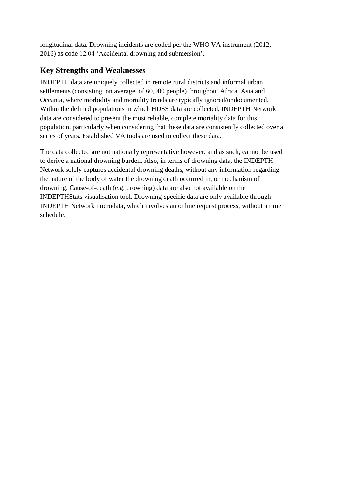longitudinal data. Drowning incidents are coded per the WHO VA instrument (2012, 2016) as code 12.04 'Accidental drowning and submersion'.

#### **Key Strengths and Weaknesses**

INDEPTH data are uniquely collected in remote rural districts and informal urban settlements (consisting, on average, of 60,000 people) throughout Africa, Asia and Oceania, where morbidity and mortality trends are typically ignored/undocumented. Within the defined populations in which HDSS data are collected, INDEPTH Network data are considered to present the most reliable, complete mortality data for this population, particularly when considering that these data are consistently collected over a series of years. Established VA tools are used to collect these data.

The data collected are not nationally representative however, and as such, cannot be used to derive a national drowning burden. Also, in terms of drowning data, the INDEPTH Network solely captures accidental drowning deaths, without any information regarding the nature of the body of water the drowning death occurred in, or mechanism of drowning. Cause-of-death (e.g. drowning) data are also not available on the INDEPTHStats visualisation tool. Drowning-specific data are only available through INDEPTH Network microdata, which involves an online request process, without a time schedule.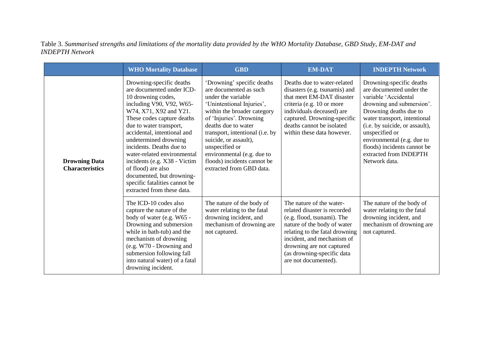Table 3. *Summarised strengths and limitations of the mortality data provided by the WHO Mortality Database, GBD Study, EM-DAT and INDEPTH Network*

|                                                | <b>WHO Mortality Database</b>                                                                                                                                                                                                                                                                                                                                                                                                                                   | <b>GBD</b>                                                                                                                                                                                                                                                                                                                                                      | <b>EM-DAT</b>                                                                                                                                                                                                                                                            | <b>INDEPTH Network</b>                                                                                                                                                                                                                                                                                                          |
|------------------------------------------------|-----------------------------------------------------------------------------------------------------------------------------------------------------------------------------------------------------------------------------------------------------------------------------------------------------------------------------------------------------------------------------------------------------------------------------------------------------------------|-----------------------------------------------------------------------------------------------------------------------------------------------------------------------------------------------------------------------------------------------------------------------------------------------------------------------------------------------------------------|--------------------------------------------------------------------------------------------------------------------------------------------------------------------------------------------------------------------------------------------------------------------------|---------------------------------------------------------------------------------------------------------------------------------------------------------------------------------------------------------------------------------------------------------------------------------------------------------------------------------|
| <b>Drowning Data</b><br><b>Characteristics</b> | Drowning-specific deaths<br>are documented under ICD-<br>10 drowning codes,<br>including V90, V92, W65-<br>W74, X71, X92 and Y21.<br>These codes capture deaths<br>due to water transport,<br>accidental, intentional and<br>undetermined drowning<br>incidents. Deaths due to<br>water-related environmental<br>incidents (e.g. X38 - Victim<br>of flood) are also<br>documented, but drowning-<br>specific fatalities cannot be<br>extracted from these data. | 'Drowning' specific deaths<br>are documented as such<br>under the variable<br>'Unintentional Injuries',<br>within the broader category<br>of 'Injuries'. Drowning<br>deaths due to water<br>transport, intentional (i.e. by<br>suicide, or assault),<br>unspecified or<br>environmental (e.g. due to<br>floods) incidents cannot be<br>extracted from GBD data. | Deaths due to water-related<br>disasters (e.g. tsunamis) and<br>that meet EM-DAT disaster<br>criteria (e.g. 10 or more<br>individuals deceased) are<br>captured. Drowning-specific<br>deaths cannot be isolated<br>within these data however.                            | Drowning-specific deaths<br>are documented under the<br>variable 'Accidental<br>drowning and submersion'.<br>Drowning deaths due to<br>water transport, intentional<br>(i.e. by suicide, or assault),<br>unspecified or<br>environmental (e.g. due to<br>floods) incidents cannot be<br>extracted from INDEPTH<br>Network data. |
|                                                | The ICD-10 codes also<br>capture the nature of the<br>body of water (e.g. W65 -<br>Drowning and submersion<br>while in bath-tub) and the<br>mechanism of drowning<br>(e.g. W70 - Drowning and<br>submersion following fall<br>into natural water) of a fatal<br>drowning incident.                                                                                                                                                                              | The nature of the body of<br>water relating to the fatal<br>drowning incident, and<br>mechanism of drowning are<br>not captured.                                                                                                                                                                                                                                | The nature of the water-<br>related disaster is recorded<br>(e.g. flood, tsunami). The<br>nature of the body of water<br>relating to the fatal drowning<br>incident, and mechanism of<br>drowning are not captured<br>(as drowning-specific data<br>are not documented). | The nature of the body of<br>water relating to the fatal<br>drowning incident, and<br>mechanism of drowning are<br>not captured.                                                                                                                                                                                                |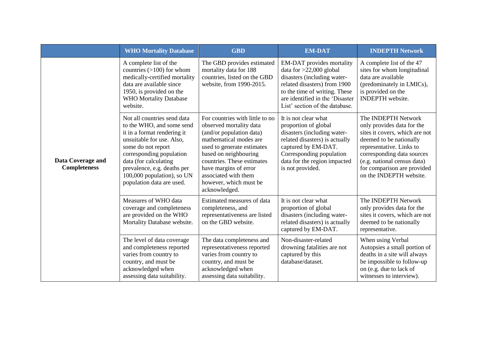|                                          | <b>WHO Mortality Database</b>                                                                                                                                                                                                                                                             | <b>GBD</b>                                                                                                                                                                                                                                                                                        | <b>EM-DAT</b>                                                                                                                                                                                                               | <b>INDEPTH Network</b>                                                                                                                                                                                                                                            |
|------------------------------------------|-------------------------------------------------------------------------------------------------------------------------------------------------------------------------------------------------------------------------------------------------------------------------------------------|---------------------------------------------------------------------------------------------------------------------------------------------------------------------------------------------------------------------------------------------------------------------------------------------------|-----------------------------------------------------------------------------------------------------------------------------------------------------------------------------------------------------------------------------|-------------------------------------------------------------------------------------------------------------------------------------------------------------------------------------------------------------------------------------------------------------------|
| Data Coverage and<br><b>Completeness</b> | A complete list of the<br>countries $(>100)$ for whom<br>medically-certified mortality<br>data are available since<br>1950, is provided on the<br><b>WHO Mortality Database</b><br>website.                                                                                               | The GBD provides estimated<br>mortality data for 188<br>countries, listed on the GBD<br>website, from 1990-2015.                                                                                                                                                                                  | EM-DAT provides mortality<br>data for $>22,000$ global<br>disasters (including water-<br>related disasters) from 1900<br>to the time of writing. These<br>are identified in the 'Disaster<br>List' section of the database. | A complete list of the 47<br>sites for whom longitudinal<br>data are available<br>(predominately in LMICs),<br>is provided on the<br><b>INDEPTH</b> website.                                                                                                      |
|                                          | Not all countries send data<br>to the WHO, and some send<br>it in a format rendering it<br>unsuitable for use. Also,<br>some do not report<br>corresponding population<br>data (for calculating<br>prevalence, e.g. deaths per<br>100,000 population), so UN<br>population data are used. | For countries with little to no<br>observed mortality data<br>(and/or population data)<br>mathematical modes are<br>used to generate estimates<br>based on neighbouring<br>countries. These estimates<br>have margins of error<br>associated with them<br>however, which must be<br>acknowledged. | It is not clear what<br>proportion of global<br>disasters (including water-<br>related disasters) is actually<br>captured by EM-DAT.<br>Corresponding population<br>data for the region impacted<br>is not provided.        | The INDEPTH Network<br>only provides data for the<br>sites it covers, which are not<br>deemed to be nationally<br>representative. Links to<br>corresponding data sources<br>(e.g. national census data)<br>for comparison are provided<br>on the INDEPTH website. |
|                                          | Measures of WHO data<br>coverage and completeness<br>are provided on the WHO<br>Mortality Database website.                                                                                                                                                                               | Estimated measures of data<br>completeness, and<br>representativeness are listed<br>on the GBD website.                                                                                                                                                                                           | It is not clear what<br>proportion of global<br>disasters (including water-<br>related disasters) is actually<br>captured by EM-DAT.                                                                                        | The INDEPTH Network<br>only provides data for the<br>sites it covers, which are not<br>deemed to be nationally<br>representative.                                                                                                                                 |
|                                          | The level of data coverage<br>and completeness reported<br>varies from country to<br>country, and must be<br>acknowledged when<br>assessing data suitability.                                                                                                                             | The data completeness and<br>representativeness reported<br>varies from country to<br>country, and must be<br>acknowledged when<br>assessing data suitability.                                                                                                                                    | Non-disaster-related<br>drowning fatalities are not<br>captured by this<br>database/dataset.                                                                                                                                | When using Verbal<br>Autopsies a small portion of<br>deaths in a site will always<br>be impossible to follow-up<br>on (e.g. due to lack of<br>witnesses to interview).                                                                                            |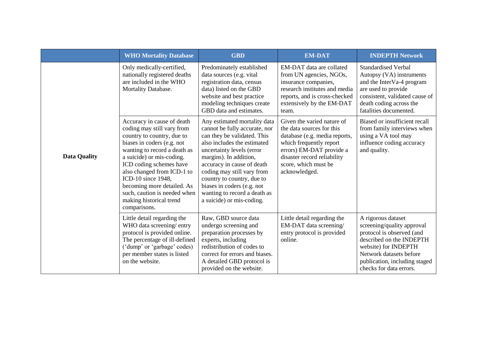|                     | <b>WHO Mortality Database</b>                                                                                                                                                                                                                                                                                                                                             | <b>GBD</b>                                                                                                                                                                                                                                                                                                                                                              | <b>EM-DAT</b>                                                                                                                                                                                                           | <b>INDEPTH Network</b>                                                                                                                                                                                                   |
|---------------------|---------------------------------------------------------------------------------------------------------------------------------------------------------------------------------------------------------------------------------------------------------------------------------------------------------------------------------------------------------------------------|-------------------------------------------------------------------------------------------------------------------------------------------------------------------------------------------------------------------------------------------------------------------------------------------------------------------------------------------------------------------------|-------------------------------------------------------------------------------------------------------------------------------------------------------------------------------------------------------------------------|--------------------------------------------------------------------------------------------------------------------------------------------------------------------------------------------------------------------------|
|                     | Only medically-certified,<br>nationally registered deaths<br>are included in the WHO<br>Mortality Database.                                                                                                                                                                                                                                                               | Predominately established<br>data sources (e.g. vital<br>registration data, census<br>data) listed on the GBD<br>website and best practice<br>modeling techniques create<br>GBD data and estimates.                                                                                                                                                                     | EM-DAT data are collated<br>from UN agencies, NGOs,<br>insurance companies,<br>research institutes and media<br>reports, and is cross-checked<br>extensively by the EM-DAT<br>team.                                     | <b>Standardised Verbal</b><br>Autopsy (VA) instruments<br>and the InterVa-4 program<br>are used to provide<br>consistent, validated cause of<br>death coding across the<br>fatalities documented.                        |
| <b>Data Quality</b> | Accuracy in cause of death<br>coding may still vary from<br>country to country, due to<br>biases in coders (e.g. not<br>wanting to record a death as<br>a suicide) or mis-coding.<br>ICD coding schemes have<br>also changed from ICD-1 to<br>ICD-10 since 1948,<br>becoming more detailed. As<br>such, caution is needed when<br>making historical trend<br>comparisons. | Any estimated mortality data<br>cannot be fully accurate, nor<br>can they be validated. This<br>also includes the estimated<br>uncertainty levels (error<br>margins). In addition,<br>accuracy in cause of death<br>coding may still vary from<br>country to country, due to<br>biases in coders (e.g. not<br>wanting to record a death as<br>a suicide) or mis-coding. | Given the varied nature of<br>the data sources for this<br>database (e.g. media reports,<br>which frequently report<br>errors) EM-DAT provide a<br>disaster record reliability<br>score, which must be<br>acknowledged. | Biased or insufficient recall<br>from family interviews when<br>using a VA tool may<br>influence coding accuracy<br>and quality.                                                                                         |
|                     | Little detail regarding the<br>WHO data screening/entry<br>protocol is provided online.<br>The percentage of ill-defined<br>('dump' or 'garbage' codes)<br>per member states is listed<br>on the website.                                                                                                                                                                 | Raw, GBD source data<br>undergo screening and<br>preparation processes by<br>experts, including<br>redistribution of codes to<br>correct for errors and biases.<br>A detailed GBD protocol is<br>provided on the website.                                                                                                                                               | Little detail regarding the<br>EM-DAT data screening/<br>entry protocol is provided<br>online.                                                                                                                          | A rigorous dataset<br>screening/quality approval<br>protocol is observed (and<br>described on the INDEPTH<br>website) for INDEPTH<br>Network datasets before<br>publication, including staged<br>checks for data errors. |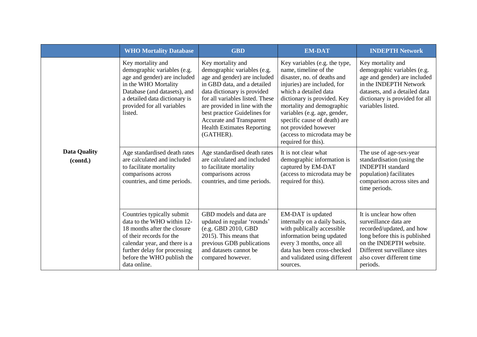|                                 | <b>WHO Mortality Database</b>                                                                                                                                                                                                      | <b>GBD</b>                                                                                                                                                                                                                                                                                                                              | <b>EM-DAT</b>                                                                                                                                                                                                                                                                                                                                           | <b>INDEPTH Network</b>                                                                                                                                                                                             |
|---------------------------------|------------------------------------------------------------------------------------------------------------------------------------------------------------------------------------------------------------------------------------|-----------------------------------------------------------------------------------------------------------------------------------------------------------------------------------------------------------------------------------------------------------------------------------------------------------------------------------------|---------------------------------------------------------------------------------------------------------------------------------------------------------------------------------------------------------------------------------------------------------------------------------------------------------------------------------------------------------|--------------------------------------------------------------------------------------------------------------------------------------------------------------------------------------------------------------------|
| <b>Data Quality</b><br>(contd.) | Key mortality and<br>demographic variables (e.g.<br>age and gender) are included<br>in the WHO Mortality<br>Database (and datasets), and<br>a detailed data dictionary is<br>provided for all variables<br>listed.                 | Key mortality and<br>demographic variables (e.g.<br>age and gender) are included<br>in GBD data, and a detailed<br>data dictionary is provided<br>for all variables listed. These<br>are provided in line with the<br>best practice Guidelines for<br><b>Accurate and Transparent</b><br><b>Health Estimates Reporting</b><br>(GATHER). | Key variables (e.g. the type,<br>name, timeline of the<br>disaster, no. of deaths and<br>injuries) are included, for<br>which a detailed data<br>dictionary is provided. Key<br>mortality and demographic<br>variables (e.g. age, gender,<br>specific cause of death) are<br>not provided however<br>(access to microdata may be<br>required for this). | Key mortality and<br>demographic variables (e.g.<br>age and gender) are included<br>in the INDEPTH Network<br>datasets, and a detailed data<br>dictionary is provided for all<br>variables listed.                 |
|                                 | Age standardised death rates<br>are calculated and included<br>to facilitate mortality<br>comparisons across<br>countries, and time periods.                                                                                       | Age standardised death rates<br>are calculated and included<br>to facilitate mortality<br>comparisons across<br>countries, and time periods.                                                                                                                                                                                            | It is not clear what<br>demographic information is<br>captured by EM-DAT<br>(access to microdata may be<br>required for this).                                                                                                                                                                                                                          | The use of age-sex-year<br>standardisation (using the<br><b>INDEPTH</b> standard<br>population) facilitates<br>comparison across sites and<br>time periods.                                                        |
|                                 | Countries typically submit<br>data to the WHO within 12-<br>18 months after the closure<br>of their records for the<br>calendar year, and there is a<br>further delay for processing<br>before the WHO publish the<br>data online. | GBD models and data are<br>updated in regular 'rounds'<br>(e.g. GBD 2010, GBD<br>2015). This means that<br>previous GDB publications<br>and datasets cannot be<br>compared however.                                                                                                                                                     | EM-DAT is updated<br>internally on a daily basis,<br>with publically accessible<br>information being updated<br>every 3 months, once all<br>data has been cross-checked<br>and validated using different<br>sources.                                                                                                                                    | It is unclear how often<br>surveillance data are<br>recorded/updated, and how<br>long before this is published<br>on the INDEPTH website.<br>Different surveillance sites<br>also cover different time<br>periods. |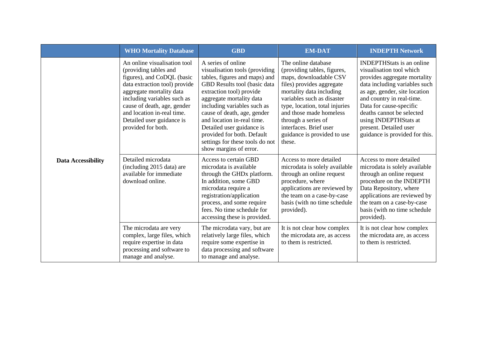|                           | <b>WHO Mortality Database</b>                                                                                                                                                                                                                                                                   | <b>GBD</b>                                                                                                                                                                                                                                                                                                                                                                                        | <b>EM-DAT</b>                                                                                                                                                                                                                                                                                                              | <b>INDEPTH Network</b>                                                                                                                                                                                                                                                                                                                   |
|---------------------------|-------------------------------------------------------------------------------------------------------------------------------------------------------------------------------------------------------------------------------------------------------------------------------------------------|---------------------------------------------------------------------------------------------------------------------------------------------------------------------------------------------------------------------------------------------------------------------------------------------------------------------------------------------------------------------------------------------------|----------------------------------------------------------------------------------------------------------------------------------------------------------------------------------------------------------------------------------------------------------------------------------------------------------------------------|------------------------------------------------------------------------------------------------------------------------------------------------------------------------------------------------------------------------------------------------------------------------------------------------------------------------------------------|
| <b>Data Accessibility</b> | An online visualisation tool<br>(providing tables and<br>figures), and CoDQL (basic<br>data extraction tool) provide<br>aggregate mortality data<br>including variables such as<br>cause of death, age, gender<br>and location in-real time.<br>Detailed user guidance is<br>provided for both. | A series of online<br>visualisation tools (providing<br>tables, figures and maps) and<br>GBD Results tool (basic data<br>extraction tool) provide<br>aggregate mortality data<br>including variables such as<br>cause of death, age, gender<br>and location in-real time.<br>Detailed user guidance is<br>provided for both. Default<br>settings for these tools do not<br>show margins of error. | The online database<br>(providing tables, figures,<br>maps, downloadable CSV<br>files) provides aggregate<br>mortality data including<br>variables such as disaster<br>type, location, total injuries<br>and those made homeless<br>through a series of<br>interfaces. Brief user<br>guidance is provided to use<br>these. | <b>INDEPTHStats</b> is an online<br>visualisation tool which<br>provides aggregate mortality<br>data including variables such<br>as age, gender, site location<br>and country in real-time.<br>Data for cause-specific<br>deaths cannot be selected<br>using INDEPTHStats at<br>present. Detailed user<br>guidance is provided for this. |
|                           | Detailed microdata<br>(including 2015 data) are<br>available for immediate<br>download online.                                                                                                                                                                                                  | Access to certain GBD<br>microdata is available<br>through the GHDx platform.<br>In addition, some GBD<br>microdata require a<br>registration/application<br>process, and some require<br>fees. No time schedule for<br>accessing these is provided.                                                                                                                                              | Access to more detailed<br>microdata is solely available<br>through an online request<br>procedure, where<br>applications are reviewed by<br>the team on a case-by-case<br>basis (with no time schedule<br>provided).                                                                                                      | Access to more detailed<br>microdata is solely available<br>through an online request<br>procedure on the INDEPTH<br>Data Repository, where<br>applications are reviewed by<br>the team on a case-by-case<br>basis (with no time schedule<br>provided).                                                                                  |
|                           | The microdata are very<br>complex, large files, which<br>require expertise in data<br>processing and software to<br>manage and analyse.                                                                                                                                                         | The microdata vary, but are<br>relatively large files, which<br>require some expertise in<br>data processing and software<br>to manage and analyse.                                                                                                                                                                                                                                               | It is not clear how complex<br>the microdata are, as access<br>to them is restricted.                                                                                                                                                                                                                                      | It is not clear how complex<br>the microdata are, as access<br>to them is restricted.                                                                                                                                                                                                                                                    |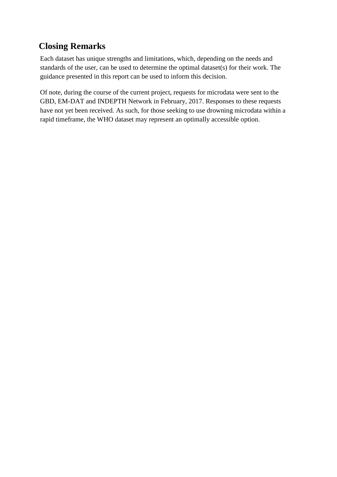## **Closing Remarks**

Each dataset has unique strengths and limitations, which, depending on the needs and standards of the user, can be used to determine the optimal dataset(s) for their work. The guidance presented in this report can be used to inform this decision.

Of note, during the course of the current project, requests for microdata were sent to the GBD, EM-DAT and INDEPTH Network in February, 2017. Responses to these requests have not yet been received. As such, for those seeking to use drowning microdata within a rapid timeframe, the WHO dataset may represent an optimally accessible option.